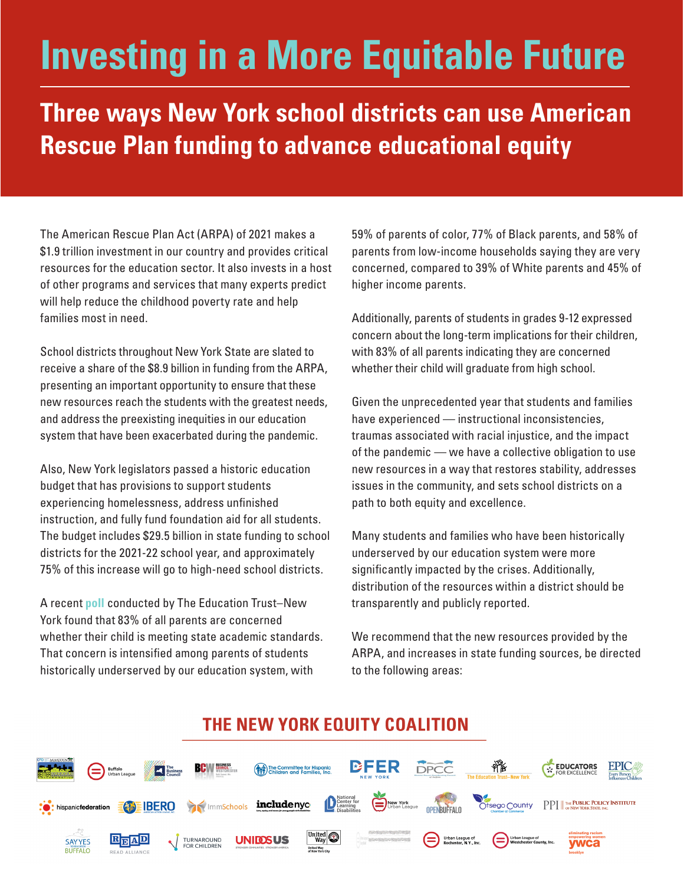# **Investing in a More Equitable Future**

**Three ways New York school districts can use American Rescue Plan funding to advance educational equity** 

The American Rescue Plan Act (ARPA) of 2021 makes a \$1.9 trillion investment in our country and provides critical resources for the education sector. It also invests in a host of other programs and services that many experts predict will help reduce the childhood poverty rate and help families most in need.

School districts throughout New York State are slated to receive a share of the \$8.9 billion in funding from the ARPA, presenting an important opportunity to ensure that these new resources reach the students with the greatest needs, and address the preexisting inequities in our education system that have been exacerbated during the pandemic.

Also, New York legislators passed a historic education budget that has provisions to support students experiencing homelessness, address unfinished instruction, and fully fund foundation aid for all students. The budget includes \$29.5 billion in state funding to school districts for the 2021-22 school year, and approximately 75% of this increase will go to high-need school districts.

A recent **[poll](https://newyork.edtrust.org/press-release/poll-one-year-into-the-coronavirus-pandemic-academic-concerns-remain-top-of-mind-particularly-for-parents-of-color-and-parents-from-low-income-households/)** conducted by The Education Trust–New York found that 83% of all parents are concerned whether their child is meeting state academic standards. That concern is intensified among parents of students historically underserved by our education system, with

59% of parents of color, 77% of Black parents, and 58% of parents from low-income households saying they are very concerned, compared to 39% of White parents and 45% of higher income parents.

Additionally, parents of students in grades 9-12 expressed concern about the long-term implications for their children, with 83% of all parents indicating they are concerned whether their child will graduate from high school.

Given the unprecedented year that students and families have experienced — instructional inconsistencies, traumas associated with racial injustice, and the impact of the pandemic — we have a collective obligation to use new resources in a way that restores stability, addresses issues in the community, and sets school districts on a path to both equity and excellence.

Many students and families who have been historically underserved by our education system were more significantly impacted by the crises. Additionally, distribution of the resources within a district should be transparently and publicly reported.

We recommend that the new resources provided by the ARPA, and increases in state funding sources, be directed to the following areas:

#### THE NEW YORK EQUITY COALITION **BFER** DPCC а The Committee for Hispanic<br>
The Committee for Hispanic<br>
The Children and Families, Inc.

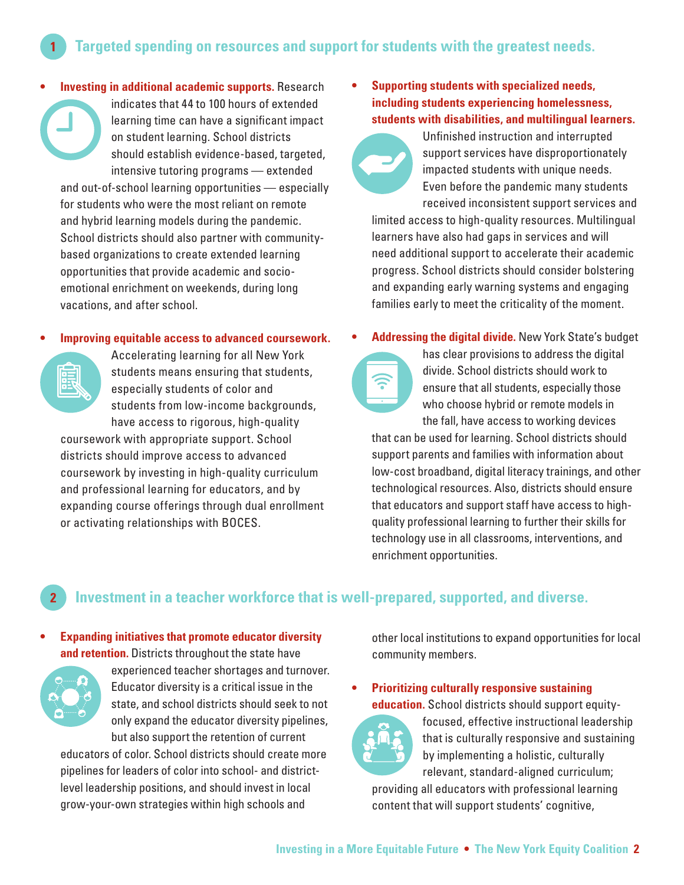**Targeted spending on resources and support for students with the greatest needs. 1**

**• Investing in additional academic supports.** Research indicates that 44 to 100 hours of extended learning time can have a significant impact on student learning. School districts should establish evidence-based, targeted, intensive tutoring programs — extended and out-of-school learning opportunities — especially for students who were the most reliant on remote and hybrid learning models during the pandemic. School districts should also partner with communitybased organizations to create extended learning opportunities that provide academic and socioemotional enrichment on weekends, during long vacations, and after school.

#### **• Improving equitable access to advanced coursework.**



Accelerating learning for all New York students means ensuring that students, especially students of color and students from low-income backgrounds, have access to rigorous, high-quality

coursework with appropriate support. School districts should improve access to advanced coursework by investing in high-quality curriculum and professional learning for educators, and by expanding course offerings through dual enrollment or activating relationships with BOCES.

- **• Supporting students with specialized needs, including students experiencing homelessness, students with disabilities, and multilingual learners.**
	- Unfinished instruction and interrupted support services have disproportionately impacted students with unique needs. Even before the pandemic many students received inconsistent support services and

limited access to high-quality resources. Multilingual learners have also had gaps in services and will need additional support to accelerate their academic progress. School districts should consider bolstering and expanding early warning systems and engaging families early to meet the criticality of the moment.

#### **• Addressing the digital divide.** New York State's budget



has clear provisions to address the digital divide. School districts should work to ensure that all students, especially those who choose hybrid or remote models in the fall, have access to working devices

that can be used for learning. School districts should support parents and families with information about low-cost broadband, digital literacy trainings, and other technological resources. Also, districts should ensure that educators and support staff have access to highquality professional learning to further their skills for technology use in all classrooms, interventions, and enrichment opportunities.

### **2 Investment in a teacher workforce that is well-prepared, supported, and diverse.**

**• Expanding initiatives that promote educator diversity and retention.** Districts throughout the state have



experienced teacher shortages and turnover. Educator diversity is a critical issue in the state, and school districts should seek to not only expand the educator diversity pipelines, but also support the retention of current

educators of color. School districts should create more pipelines for leaders of color into school- and districtlevel leadership positions, and should invest in local grow-your-own strategies within high schools and

other local institutions to expand opportunities for local community members.

**• Prioritizing culturally responsive sustaining education.** School districts should support equity-



focused, effective instructional leadership that is culturally responsive and sustaining by implementing a holistic, culturally relevant, standard-aligned curriculum;

providing all educators with professional learning content that will support students' cognitive,